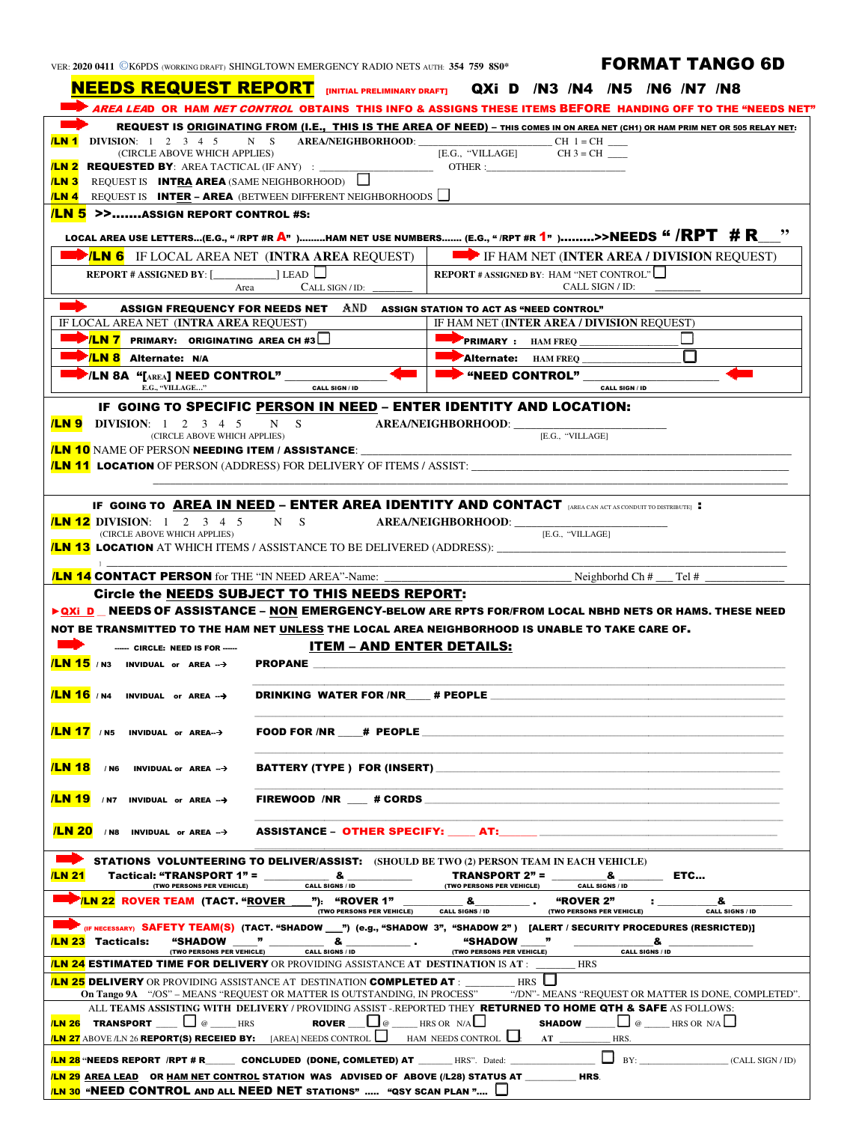| VER: 2020 0411 CK6PDS (WORKING DRAFT) SHINGLTOWN EMERGENCY RADIO NETS AUTH: 354 759 8S |  |  |  |  |  |
|----------------------------------------------------------------------------------------|--|--|--|--|--|
|----------------------------------------------------------------------------------------|--|--|--|--|--|

## AUTH: 354 759 8S0\* **FORMAT TANGO 6D**

| NEEDS REQUEST REPORT [INITIAL PRELIMINARY DRAFT] QXI D /N3 /N4 /N5 /N6 /N7 /N8                                                                                                    |                                                                                                                                                                       |  |
|-----------------------------------------------------------------------------------------------------------------------------------------------------------------------------------|-----------------------------------------------------------------------------------------------------------------------------------------------------------------------|--|
|                                                                                                                                                                                   | * <i>AREA LEA</i> D  OR  HAM <i>NET CONTROL</i> OBTAINS  THIS INFO & ASSIGNS THESE ITEMS <b>BEFORE</b> HANDING OFF TO THE "NEEDS NET"                                 |  |
| <b>ILN 1</b> DIVISION: $1 \t2 \t3 \t4 \t5$                                                                                                                                        | REQUEST IS ORIGINATING FROM (I.E., THIS IS THE AREA OF NEED) - THIS COMES IN ON AREA NET (CH1) OR HAM PRIM NET OR 505 RELAY NET:<br>N S AREA/NEIGHBORHOOD: CH 1=CH CH |  |
| (CIRCLE ABOVE WHICH APPLIES)<br>[E.G., "VILLAGE]<br>$CH3 = CH$                                                                                                                    |                                                                                                                                                                       |  |
| /LN 2<br>OTHER:                                                                                                                                                                   |                                                                                                                                                                       |  |
| <b>ILN 3</b> REQUEST IS <b>INT<u>RA</u> AREA</b> (SAME NEIGHBORHOOD)                                                                                                              |                                                                                                                                                                       |  |
| <b>ILN 4</b> REQUEST IS <b>INTER - AREA</b> (BETWEEN DIFFERENT NEIGHBORHOODS                                                                                                      |                                                                                                                                                                       |  |
| <b>LN 5 &gt;&gt;ASSIGN REPORT CONTROL #S:</b>                                                                                                                                     | ,,                                                                                                                                                                    |  |
| LOCAL AREA USE LETTERS(E.G., " /RPT #R A" )HAM NET USE NUMBERS (E.G., " /RPT #R 1" )>>NEEDS " /RPT # R_                                                                           |                                                                                                                                                                       |  |
| <b>EXAMPLE 15 IF LOCAL AREA NET (INTRA AREA REOUEST)</b>                                                                                                                          | <b>EXAMPLE THAM NET (INTER AREA / DIVISION REQUEST)</b>                                                                                                               |  |
| REPORT # ASSIGNED BY: $[\_$ [EAD $\Box$ ]<br><b>REPORT</b> # ASSIGNED BY: HAM "NET CONTROL"<br>CALL SIGN / ID:<br>CALL SIGN / ID:<br>Area                                         |                                                                                                                                                                       |  |
| $\blacktriangleright$<br>ASSIGN FREQUENCY FOR NEEDS NET AND ASSIGN STATION TO ACT AS "NEED CONTROL"                                                                               |                                                                                                                                                                       |  |
| IF LOCAL AREA NET ( <b>INTRA AREA</b> REQUEST)                                                                                                                                    | IF HAM NET (INTER AREA / DIVISION REQUEST)                                                                                                                            |  |
| <b>EXAMPLE 7</b> PRIMARY: ORIGINATING AREA CH #3                                                                                                                                  |                                                                                                                                                                       |  |
| <b>EXAMPLE Alternate:</b> N/A                                                                                                                                                     | Alternate: HAM FREQ                                                                                                                                                   |  |
| $\blacktriangleright$ /LN 8A "[AREA] NEED CONTROL" _____                                                                                                                          | <b>EXAMPLE CONTROL</b> "                                                                                                                                              |  |
| E.G., "VILLAGE"<br><b>CALL SIGN / ID</b>                                                                                                                                          | <b>CALL SIGN / ID</b>                                                                                                                                                 |  |
| IF GOING TO SPECIFIC PERSON IN NEED - ENTER IDENTITY AND LOCATION:                                                                                                                |                                                                                                                                                                       |  |
| <b>ILN 9</b> DIVISION: $1 \t2 \t3 \t4 \t5$<br>$N$ S<br>(CIRCLE ABOVE WHICH APPLIES)                                                                                               | AREA/NEIGHBORHOOD: __________<br>[E.G., "VILLAGE]                                                                                                                     |  |
| <mark>/LN 10</mark> NAME OF PERSON <b>NEEDING ITEM / ASSISTANCE</b> :                                                                                                             |                                                                                                                                                                       |  |
| <b>/LN 11 LOCATION</b> OF PERSON (ADDRESS) FOR DELIVERY OF ITEMS / ASSIST:                                                                                                        |                                                                                                                                                                       |  |
|                                                                                                                                                                                   |                                                                                                                                                                       |  |
| <b><i>ILN</i></b> 12 DIVISION: 1 2 3 4 5<br>N S<br>(CIRCLE ABOVE WHICH APPLIES)<br><mark>ILN 13</mark> LOCATION AT WHICH ITEMS / ASSISTANCE TO BE DELIVERED (ADDRESS): __________ | AREA/NEIGHBORHOOD: ______<br>[E.G., "VILLAGE]                                                                                                                         |  |
| <b>ILN 14 CONTACT PERSON</b> for THE "IN NEED AREA"-Name:                                                                                                                         | Neighborhd $Ch#$<br>Tel #                                                                                                                                             |  |
| Circle the NEEDS SUBJECT TO THIS NEEDS REPORT:                                                                                                                                    |                                                                                                                                                                       |  |
| ▶ QXi D _ NEEDS OF ASSISTANCE - NON EMERGENCY-BELOW ARE RPTS FOR/FROM LOCAL NBHD NETS OR HAMS. THESE NEED                                                                         |                                                                                                                                                                       |  |
|                                                                                                                                                                                   |                                                                                                                                                                       |  |
| NOT BE TRANSMITTED TO THE HAM NET UNLESS THE LOCAL AREA NEIGHBORHOOD IS UNABLE TO TAKE CARE OF.                                                                                   |                                                                                                                                                                       |  |
| <b>ITEM - AND ENTER DETAILS:</b><br>------ CIRCLE: NEED IS FOR -----                                                                                                              |                                                                                                                                                                       |  |
| <b>/LN 15</b> / N3 INVIDUAL or AREA --> PROPANE                                                                                                                                   |                                                                                                                                                                       |  |
|                                                                                                                                                                                   |                                                                                                                                                                       |  |
| $/LN 16$ / N4 INVIDUAL or AREA $\rightarrow$<br><b>DRINKING WATER FOR /NR</b>                                                                                                     | # PEOPLE                                                                                                                                                              |  |
|                                                                                                                                                                                   |                                                                                                                                                                       |  |
| <b>LN 17</b> / N5 INVIDUAL or AREA->                                                                                                                                              |                                                                                                                                                                       |  |
| $/LN$ 18 / N6 INVIDUAL or AREA $\rightarrow$<br><b>BATTERY (TYPE) FOR (INSERT)</b>                                                                                                |                                                                                                                                                                       |  |
|                                                                                                                                                                                   |                                                                                                                                                                       |  |
| $/LN$ 19 / N7 INVIDUAL or AREA $\rightarrow$<br>FIREWOOD /NR # CORDS                                                                                                              |                                                                                                                                                                       |  |
| <b>ILN 20</b> / N8 INVIDUAL or AREA $\rightarrow$<br>ASSISTANCE – OTHER SPECIFY: AT:                                                                                              |                                                                                                                                                                       |  |
| <b>STATIONS VOLUNTEERING TO DELIVER/ASSIST:</b> (SHOULD BE TWO (2) PERSON TEAM IN EACH VEHICLE)                                                                                   |                                                                                                                                                                       |  |
| <b>/LN 21</b>                                                                                                                                                                     |                                                                                                                                                                       |  |
|                                                                                                                                                                                   |                                                                                                                                                                       |  |
| <b>Example: 22 ROVER TEAM (TACT. "ROVER</b> 7): "ROVER 1"<br>(TWO PERSONS PER VEHICLE) CALL SIGNS / ID                                                                            | $\sim$ 8.<br>"ROVER 2"<br>&<br>(TWO PERSONS PER VEHICLE)<br><b>CALL SIGNS / ID</b>                                                                                    |  |
| (IF NECESSARY) SAFETY TEAM(S) (TACT. "SHADOW ___") (e.g., "SHADOW 3", "SHADOW 2") [ALERT / SECURITY PROCEDURES (RESRICTED)]<br><b>LN 23</b> Tacticals:                            |                                                                                                                                                                       |  |
|                                                                                                                                                                                   | "SHADOW"<br>&                                                                                                                                                         |  |
| <b>CALL SIGNS / ID</b><br>(TWO PERSONS PER VEHICLE)                                                                                                                               | (TWO PERSONS PER VEHICLE)<br><b>CALL SIGNS / ID</b>                                                                                                                   |  |
| <mark>iln 24</mark> estimated time for delivery or providing assistance at destination is at :                                                                                    | HRS                                                                                                                                                                   |  |
|                                                                                                                                                                                   |                                                                                                                                                                       |  |
|                                                                                                                                                                                   |                                                                                                                                                                       |  |
| ALL TEAMS ASSISTING WITH DELIVERY / PROVIDING ASSIST - REPORTED THEY RETURNED TO HOME QTH & SAFE AS FOLLOWS:                                                                      | On Tango 9A "/OS" - MEANS "REQUEST OR MATTER IS OUTSTANDING, IN PROCESS" "/DN"- MEANS "REQUEST OR MATTER IS DONE, COMPLETED".                                         |  |
| <b>ROVER</b> $\Box$ @ $\Box$ HRS OR $N/A$<br><b>ILN 26 TRANSPORT</b> $\Box$ $\Box$ $\omega$ $\Box$ HRS                                                                            | <b>SHADOW</b> $\Box$ $\phi$ $\Box$ HRS OR N/A                                                                                                                         |  |
|                                                                                                                                                                                   |                                                                                                                                                                       |  |
| (LN 29 AREA LEAD OR HAM NET CONTROL STATION WAS ADVISED OF ABOVE (/L28) STATUS AT _________HRS.                                                                                   | <b>/LN 28 "NEEDS REPORT /RPT # R_______ CONCLUDED (DONE, COMLETED) AT</b> _______HRS". Dated: ____________________________(CALL SIGN/ID)                              |  |